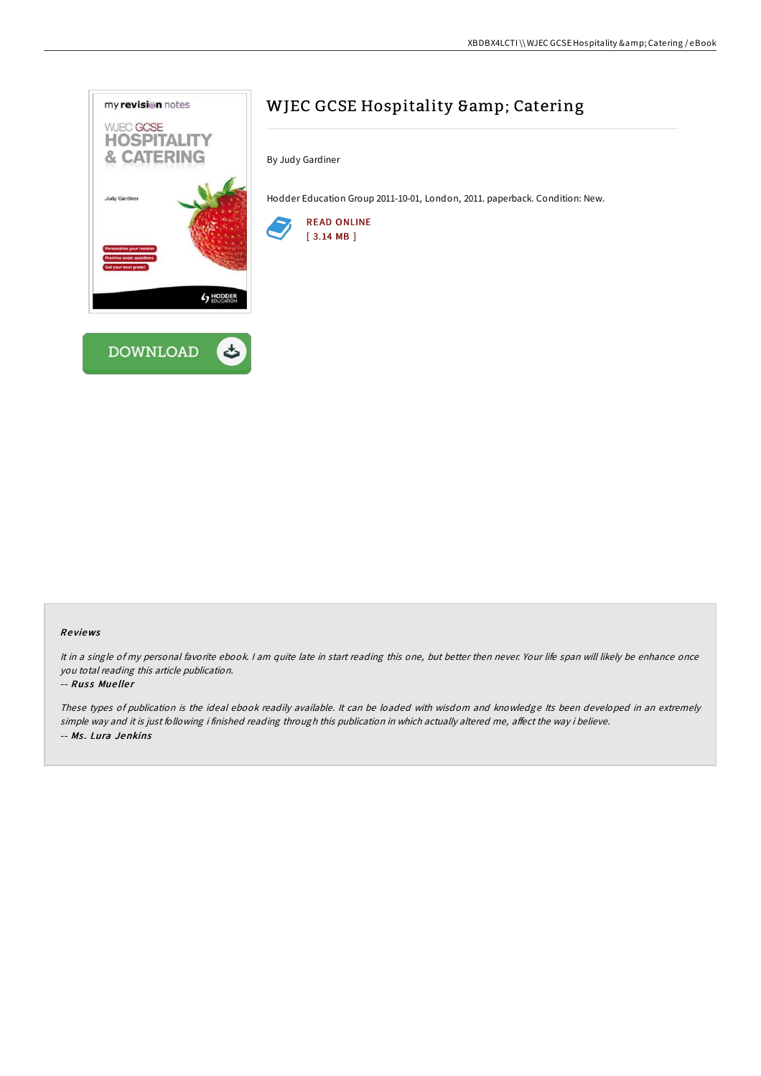

# WJEC GCSE Hospitality & amp; Catering

By Judy Gardiner

Hodder Education Group 2011-10-01, London, 2011. paperback. Condition: New.



## Re views

It in a single of my personal favorite ebook. I am quite late in start reading this one, but better then never. Your life span will likely be enhance once you total reading this article publication.

### -- Russ Mueller

These types of publication is the ideal ebook readily available. It can be loaded with wisdom and knowledge Its been developed in an extremely simple way and it is just following i finished reading through this publication in which actually altered me, affect the way i believe. -- Ms. Lura Jenkins